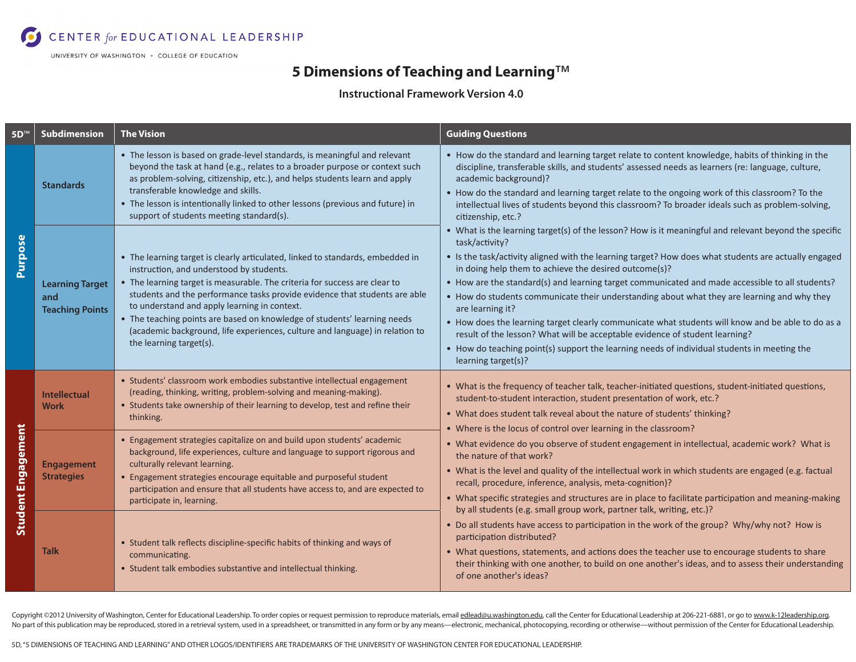CENTER for EDUCATIONAL LEADERSHIP

UNIVERSITY OF WASHINGTON . COLLEGE OF EDUCATION

## **5 Dimensions of Teaching and Learning**™

## **Instructional Framework Version 4.0**

| $5D^{\pi}$                | <b>Subdimension</b>                                     | <b>The Vision</b>                                                                                                                                                                                                                                                                                                                                                                                                                                                                                                             | <b>Guiding Questions</b>                                                                                                                                                                                                                                                                                                                                                                                                                                                                                                                                                                                                                                                                                                                                                                                                 |
|---------------------------|---------------------------------------------------------|-------------------------------------------------------------------------------------------------------------------------------------------------------------------------------------------------------------------------------------------------------------------------------------------------------------------------------------------------------------------------------------------------------------------------------------------------------------------------------------------------------------------------------|--------------------------------------------------------------------------------------------------------------------------------------------------------------------------------------------------------------------------------------------------------------------------------------------------------------------------------------------------------------------------------------------------------------------------------------------------------------------------------------------------------------------------------------------------------------------------------------------------------------------------------------------------------------------------------------------------------------------------------------------------------------------------------------------------------------------------|
| <b>Purpose</b>            | <b>Standards</b>                                        | • The lesson is based on grade-level standards, is meaningful and relevant<br>beyond the task at hand (e.g., relates to a broader purpose or context such<br>as problem-solving, citizenship, etc.), and helps students learn and apply<br>transferable knowledge and skills.<br>• The lesson is intentionally linked to other lessons (previous and future) in<br>support of students meeting standard(s).                                                                                                                   | • How do the standard and learning target relate to content knowledge, habits of thinking in the<br>discipline, transferable skills, and students' assessed needs as learners (re: language, culture,<br>academic background)?<br>. How do the standard and learning target relate to the ongoing work of this classroom? To the<br>intellectual lives of students beyond this classroom? To broader ideals such as problem-solving,<br>citizenship, etc.?                                                                                                                                                                                                                                                                                                                                                               |
|                           | <b>Learning Target</b><br>and<br><b>Teaching Points</b> | • The learning target is clearly articulated, linked to standards, embedded in<br>instruction, and understood by students.<br>• The learning target is measurable. The criteria for success are clear to<br>students and the performance tasks provide evidence that students are able<br>to understand and apply learning in context.<br>• The teaching points are based on knowledge of students' learning needs<br>(academic background, life experiences, culture and language) in relation to<br>the learning target(s). | • What is the learning target(s) of the lesson? How is it meaningful and relevant beyond the specific<br>task/activity?<br>• Is the task/activity aligned with the learning target? How does what students are actually engaged<br>in doing help them to achieve the desired outcome(s)?<br>• How are the standard(s) and learning target communicated and made accessible to all students?<br>• How do students communicate their understanding about what they are learning and why they<br>are learning it?<br>• How does the learning target clearly communicate what students will know and be able to do as a<br>result of the lesson? What will be acceptable evidence of student learning?<br>• How do teaching point(s) support the learning needs of individual students in meeting the<br>learning target(s)? |
| <b>Student Engagement</b> | <b>Intellectual</b><br><b>Work</b>                      | • Students' classroom work embodies substantive intellectual engagement<br>(reading, thinking, writing, problem-solving and meaning-making).<br>• Students take ownership of their learning to develop, test and refine their<br>thinking.                                                                                                                                                                                                                                                                                    | . What is the frequency of teacher talk, teacher-initiated questions, student-initiated questions,<br>student-to-student interaction, student presentation of work, etc.?<br>• What does student talk reveal about the nature of students' thinking?<br>• Where is the locus of control over learning in the classroom?                                                                                                                                                                                                                                                                                                                                                                                                                                                                                                  |
|                           | <b>Engagement</b><br><b>Strategies</b>                  | • Engagement strategies capitalize on and build upon students' academic<br>background, life experiences, culture and language to support rigorous and<br>culturally relevant learning.<br>• Engagement strategies encourage equitable and purposeful student<br>participation and ensure that all students have access to, and are expected to<br>participate in, learning.                                                                                                                                                   | • What evidence do you observe of student engagement in intellectual, academic work? What is<br>the nature of that work?<br>• What is the level and quality of the intellectual work in which students are engaged (e.g. factual<br>recall, procedure, inference, analysis, meta-cognition)?<br>• What specific strategies and structures are in place to facilitate participation and meaning-making                                                                                                                                                                                                                                                                                                                                                                                                                    |
|                           | Talk                                                    | • Student talk reflects discipline-specific habits of thinking and ways of<br>communicating.<br>• Student talk embodies substantive and intellectual thinking.                                                                                                                                                                                                                                                                                                                                                                | by all students (e.g. small group work, partner talk, writing, etc.)?<br>• Do all students have access to participation in the work of the group? Why/why not? How is<br>participation distributed?<br>• What questions, statements, and actions does the teacher use to encourage students to share<br>their thinking with one another, to build on one another's ideas, and to assess their understanding<br>of one another's ideas?                                                                                                                                                                                                                                                                                                                                                                                   |

Copyright ©2012 University of Washington, Center for Educational Leadership. To order copies or request permission to reproduce materials, email edlead@u.washington.edu, call the Center for Educational Leadership at 206-22 No part of this publication may be reproduced, stored in a retrieval system, used in a spreadsheet, or transmitted in any form or by any means-electronic, mechanical, photocopying, recording or otherwise-without permission